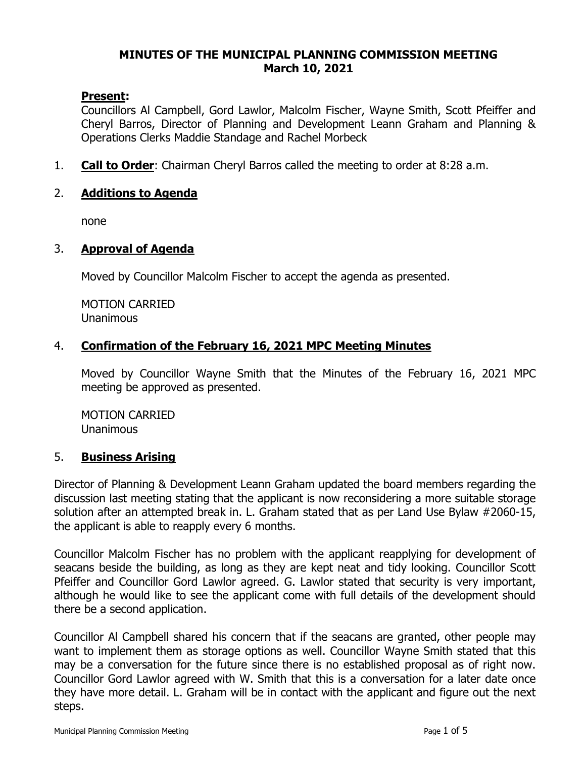### **MINUTES OF THE MUNICIPAL PLANNING COMMISSION MEETING March 10, 2021**

## **Present:**

Councillors Al Campbell, Gord Lawlor, Malcolm Fischer, Wayne Smith, Scott Pfeiffer and Cheryl Barros, Director of Planning and Development Leann Graham and Planning & Operations Clerks Maddie Standage and Rachel Morbeck

1. **Call to Order**: Chairman Cheryl Barros called the meeting to order at 8:28 a.m.

### 2. **Additions to Agenda**

none

## 3. **Approval of Agenda**

Moved by Councillor Malcolm Fischer to accept the agenda as presented.

MOTION CARRIED Unanimous

# 4. **Confirmation of the February 16, 2021 MPC Meeting Minutes**

Moved by Councillor Wayne Smith that the Minutes of the February 16, 2021 MPC meeting be approved as presented.

MOTION CARRIED **Unanimous** 

### 5. **Business Arising**

Director of Planning & Development Leann Graham updated the board members regarding the discussion last meeting stating that the applicant is now reconsidering a more suitable storage solution after an attempted break in. L. Graham stated that as per Land Use Bylaw #2060-15, the applicant is able to reapply every 6 months.

Councillor Malcolm Fischer has no problem with the applicant reapplying for development of seacans beside the building, as long as they are kept neat and tidy looking. Councillor Scott Pfeiffer and Councillor Gord Lawlor agreed. G. Lawlor stated that security is very important, although he would like to see the applicant come with full details of the development should there be a second application.

Councillor Al Campbell shared his concern that if the seacans are granted, other people may want to implement them as storage options as well. Councillor Wayne Smith stated that this may be a conversation for the future since there is no established proposal as of right now. Councillor Gord Lawlor agreed with W. Smith that this is a conversation for a later date once they have more detail. L. Graham will be in contact with the applicant and figure out the next steps.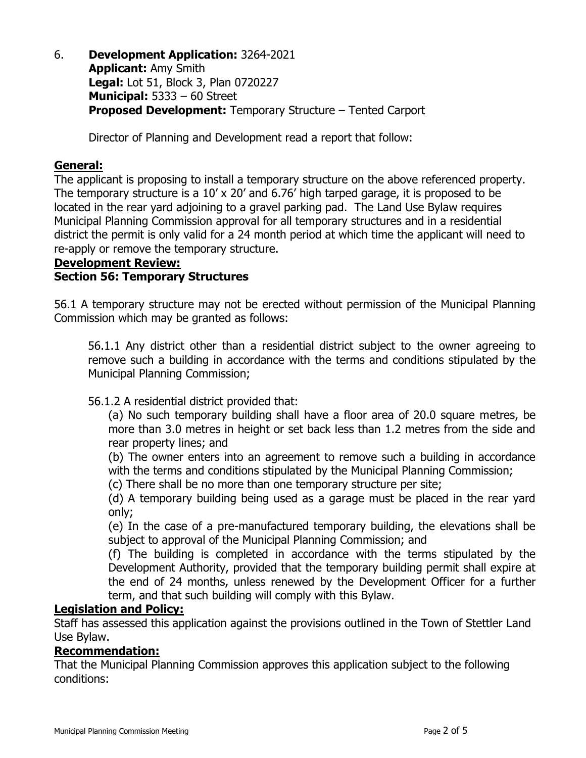6. **Development Application:** 3264-2021 **Applicant:** Amy Smith **Legal:** Lot 51, Block 3, Plan 0720227 **Municipal:** 5333 – 60 Street **Proposed Development:** Temporary Structure – Tented Carport

Director of Planning and Development read a report that follow:

## **General:**

The applicant is proposing to install a temporary structure on the above referenced property. The temporary structure is a 10' x 20' and 6.76' high tarped garage, it is proposed to be located in the rear yard adjoining to a gravel parking pad. The Land Use Bylaw requires Municipal Planning Commission approval for all temporary structures and in a residential district the permit is only valid for a 24 month period at which time the applicant will need to re-apply or remove the temporary structure.

## **Development Review:**

## **Section 56: Temporary Structures**

56.1 A temporary structure may not be erected without permission of the Municipal Planning Commission which may be granted as follows:

56.1.1 Any district other than a residential district subject to the owner agreeing to remove such a building in accordance with the terms and conditions stipulated by the Municipal Planning Commission;

### 56.1.2 A residential district provided that:

(a) No such temporary building shall have a floor area of 20.0 square metres, be more than 3.0 metres in height or set back less than 1.2 metres from the side and rear property lines; and

(b) The owner enters into an agreement to remove such a building in accordance with the terms and conditions stipulated by the Municipal Planning Commission;

(c) There shall be no more than one temporary structure per site;

(d) A temporary building being used as a garage must be placed in the rear yard only;

(e) In the case of a pre-manufactured temporary building, the elevations shall be subject to approval of the Municipal Planning Commission; and

(f) The building is completed in accordance with the terms stipulated by the Development Authority, provided that the temporary building permit shall expire at the end of 24 months, unless renewed by the Development Officer for a further term, and that such building will comply with this Bylaw.

### **Legislation and Policy:**

Staff has assessed this application against the provisions outlined in the Town of Stettler Land Use Bylaw.

# **Recommendation:**

That the Municipal Planning Commission approves this application subject to the following conditions: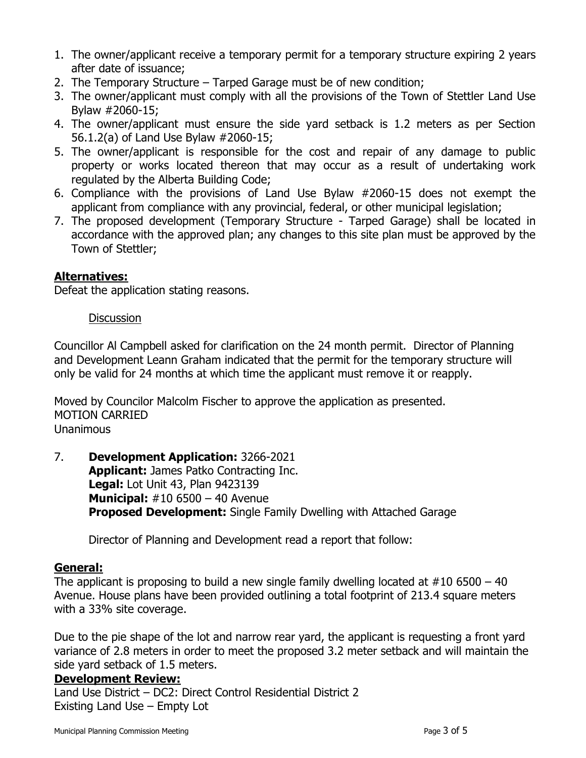- 1. The owner/applicant receive a temporary permit for a temporary structure expiring 2 years after date of issuance;
- 2. The Temporary Structure Tarped Garage must be of new condition;
- 3. The owner/applicant must comply with all the provisions of the Town of Stettler Land Use Bylaw #2060-15;
- 4. The owner/applicant must ensure the side yard setback is 1.2 meters as per Section 56.1.2(a) of Land Use Bylaw #2060-15;
- 5. The owner/applicant is responsible for the cost and repair of any damage to public property or works located thereon that may occur as a result of undertaking work regulated by the Alberta Building Code;
- 6. Compliance with the provisions of Land Use Bylaw #2060-15 does not exempt the applicant from compliance with any provincial, federal, or other municipal legislation;
- 7. The proposed development (Temporary Structure Tarped Garage) shall be located in accordance with the approved plan; any changes to this site plan must be approved by the Town of Stettler;

### **Alternatives:**

Defeat the application stating reasons.

### **Discussion**

Councillor Al Campbell asked for clarification on the 24 month permit. Director of Planning and Development Leann Graham indicated that the permit for the temporary structure will only be valid for 24 months at which time the applicant must remove it or reapply.

Moved by Councilor Malcolm Fischer to approve the application as presented. MOTION CARRIED Unanimous

7. **Development Application:** 3266-2021 **Applicant:** James Patko Contracting Inc. **Legal:** Lot Unit 43, Plan 9423139 **Municipal:** #10 6500 – 40 Avenue **Proposed Development:** Single Family Dwelling with Attached Garage

Director of Planning and Development read a report that follow:

# **General:**

The applicant is proposing to build a new single family dwelling located at  $\#10\,6500 - 40$ Avenue. House plans have been provided outlining a total footprint of 213.4 square meters with a 33% site coverage.

Due to the pie shape of the lot and narrow rear yard, the applicant is requesting a front yard variance of 2.8 meters in order to meet the proposed 3.2 meter setback and will maintain the side yard setback of 1.5 meters.

### **Development Review:**

Land Use District – DC2: Direct Control Residential District 2 Existing Land Use – Empty Lot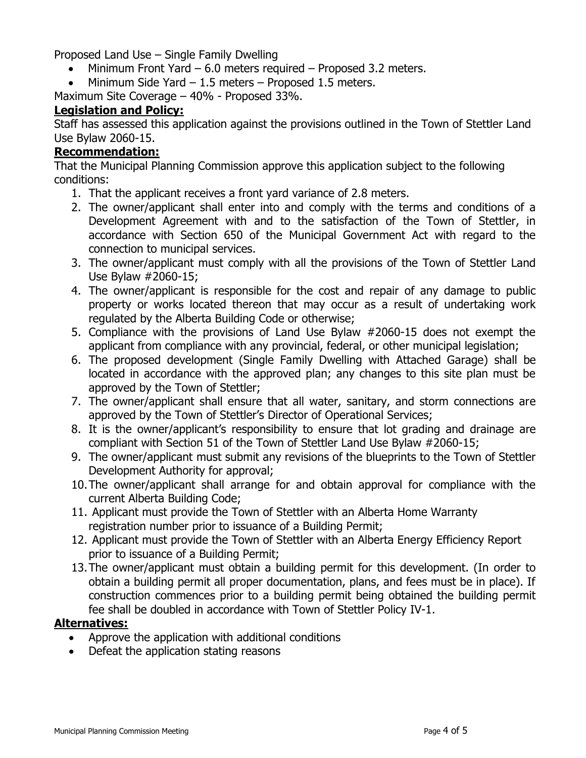Proposed Land Use – Single Family Dwelling

- Minimum Front Yard 6.0 meters required Proposed 3.2 meters.
- Minimum Side Yard  $-1.5$  meters  $-$  Proposed 1.5 meters.

Maximum Site Coverage – 40% - Proposed 33%.

# **Legislation and Policy:**

Staff has assessed this application against the provisions outlined in the Town of Stettler Land Use Bylaw 2060-15.

## **Recommendation:**

That the Municipal Planning Commission approve this application subject to the following conditions:

- 1. That the applicant receives a front yard variance of 2.8 meters.
- 2. The owner/applicant shall enter into and comply with the terms and conditions of a Development Agreement with and to the satisfaction of the Town of Stettler, in accordance with Section 650 of the Municipal Government Act with regard to the connection to municipal services.
- 3. The owner/applicant must comply with all the provisions of the Town of Stettler Land Use Bylaw #2060-15;
- 4. The owner/applicant is responsible for the cost and repair of any damage to public property or works located thereon that may occur as a result of undertaking work regulated by the Alberta Building Code or otherwise;
- 5. Compliance with the provisions of Land Use Bylaw #2060-15 does not exempt the applicant from compliance with any provincial, federal, or other municipal legislation;
- 6. The proposed development (Single Family Dwelling with Attached Garage) shall be located in accordance with the approved plan; any changes to this site plan must be approved by the Town of Stettler;
- 7. The owner/applicant shall ensure that all water, sanitary, and storm connections are approved by the Town of Stettler's Director of Operational Services;
- 8. It is the owner/applicant's responsibility to ensure that lot grading and drainage are compliant with Section 51 of the Town of Stettler Land Use Bylaw #2060-15;
- 9. The owner/applicant must submit any revisions of the blueprints to the Town of Stettler Development Authority for approval;
- 10.The owner/applicant shall arrange for and obtain approval for compliance with the current Alberta Building Code;
- 11. Applicant must provide the Town of Stettler with an Alberta Home Warranty registration number prior to issuance of a Building Permit;
- 12. Applicant must provide the Town of Stettler with an Alberta Energy Efficiency Report prior to issuance of a Building Permit;
- 13.The owner/applicant must obtain a building permit for this development. (In order to obtain a building permit all proper documentation, plans, and fees must be in place). If construction commences prior to a building permit being obtained the building permit fee shall be doubled in accordance with Town of Stettler Policy IV-1.

# **Alternatives:**

- Approve the application with additional conditions
- Defeat the application stating reasons